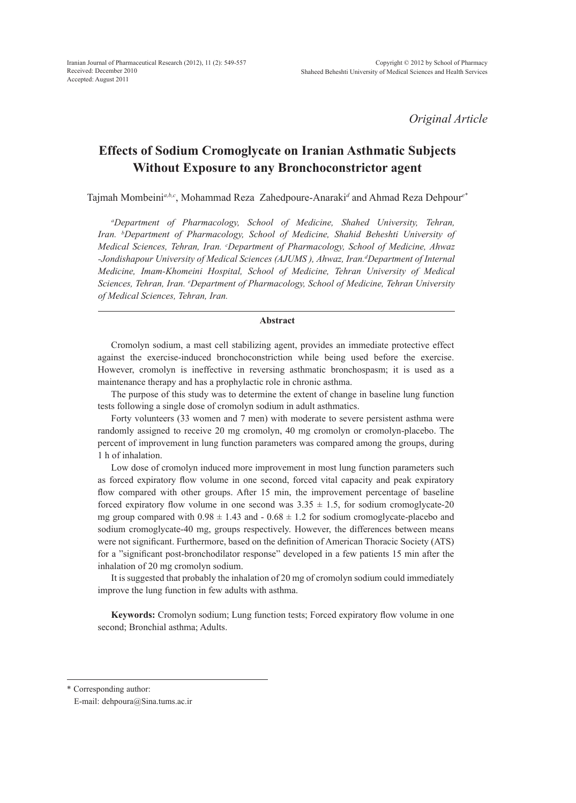*Original Article*

# **Effects of Sodium Cromoglycate on Iranian Asthmatic Subjects Without Exposure to any Bronchoconstrictor agent**

Tajmah Mombeini*a,b,c*, Mohammad Reza Zahedpoure-Anaraki*<sup>d</sup>* and Ahmad Reza Dehpour*e\**

*a Department of Pharmacology, School of Medicine, Shahed University, Tehran, Iran. b Department of Pharmacology, School of Medicine, Shahid Beheshti University of Medical Sciences, Tehran, Iran. c Department of Pharmacology, School of Medicine, Ahwaz*  -Jondishapour University of Medical Sciences (AJUMS), Ahwaz, Iran.<sup>d</sup>Department of Internal *Medicine, Imam-Khomeini Hospital, School of Medicine, Tehran University of Medical Sciences, Tehran, Iran. e Department of Pharmacology, School of Medicine, Tehran University of Medical Sciences, Tehran, Iran.*

### **Abstract**

Cromolyn sodium, a mast cell stabilizing agent, provides an immediate protective effect against the exercise-induced bronchoconstriction while being used before the exercise. However, cromolyn is ineffective in reversing asthmatic bronchospasm; it is used as a maintenance therapy and has a prophylactic role in chronic asthma.

The purpose of this study was to determine the extent of change in baseline lung function tests following a single dose of cromolyn sodium in adult asthmatics.

Forty volunteers (33 women and 7 men) with moderate to severe persistent asthma were randomly assigned to receive 20 mg cromolyn, 40 mg cromolyn or cromolyn-placebo. The percent of improvement in lung function parameters was compared among the groups, during 1 h of inhalation.

Low dose of cromolyn induced more improvement in most lung function parameters such as forced expiratory flow volume in one second, forced vital capacity and peak expiratory flow compared with other groups. After 15 min, the improvement percentage of baseline forced expiratory flow volume in one second was  $3.35 \pm 1.5$ , for sodium cromoglycate-20 mg group compared with  $0.98 \pm 1.43$  and  $-0.68 \pm 1.2$  for sodium cromoglycate-placebo and sodium cromoglycate-40 mg, groups respectively. However, the differences between means were not significant. Furthermore, based on the definition of American Thoracic Society (ATS) for a "significant post-bronchodilator response" developed in a few patients 15 min after the inhalation of 20 mg cromolyn sodium.

It is suggested that probably the inhalation of 20 mg of cromolyn sodium could immediately improve the lung function in few adults with asthma.

**Keywords:** Cromolyn sodium; Lung function tests; Forced expiratory flow volume in one second; Bronchial asthma; Adults.

\* Corresponding author:

E-mail: dehpoura@Sina.tums.ac.ir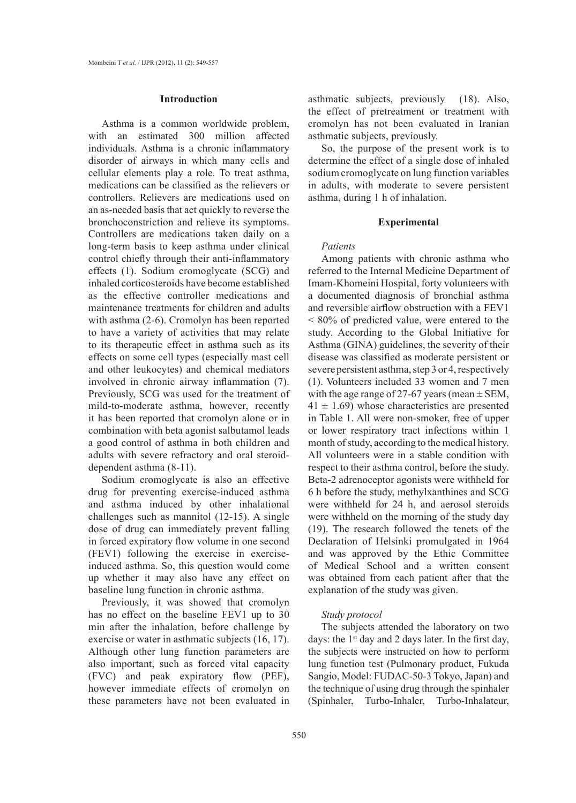### **Introduction**

Asthma is a common worldwide problem, with an estimated 300 million affected individuals. Asthma is a chronic inflammatory disorder of airways in which many cells and cellular elements play a role. To treat asthma, medications can be classified as the relievers or controllers. Relievers are medications used on an as-needed basis that act quickly to reverse the bronchoconstriction and relieve its symptoms. Controllers are medications taken daily on a long-term basis to keep asthma under clinical control chiefly through their anti-inflammatory effects (1). Sodium cromoglycate (SCG) and inhaled corticosteroids have become established as the effective controller medications and maintenance treatments for children and adults with asthma (2-6). Cromolyn has been reported to have a variety of activities that may relate to its therapeutic effect in asthma such as its effects on some cell types (especially mast cell and other leukocytes) and chemical mediators involved in chronic airway inflammation (7). Previously, SCG was used for the treatment of mild-to-moderate asthma, however, recently it has been reported that cromolyn alone or in combination with beta agonist salbutamol leads a good control of asthma in both children and adults with severe refractory and oral steroiddependent asthma (8-11).

Sodium cromoglycate is also an effective drug for preventing exercise-induced asthma and asthma induced by other inhalational challenges such as mannitol (12-15). A single dose of drug can immediately prevent falling in forced expiratory flow volume in one second (FEV1) following the exercise in exerciseinduced asthma. So, this question would come up whether it may also have any effect on baseline lung function in chronic asthma.

Previously, it was showed that cromolyn has no effect on the baseline FEV1 up to 30 min after the inhalation, before challenge by exercise or water in asthmatic subjects (16, 17). Although other lung function parameters are also important, such as forced vital capacity (FVC) and peak expiratory flow (PEF), however immediate effects of cromolyn on these parameters have not been evaluated in

asthmatic subjects, previously (18). Also, the effect of pretreatment or treatment with cromolyn has not been evaluated in Iranian asthmatic subjects, previously.

So, the purpose of the present work is to determine the effect of a single dose of inhaled sodium cromoglycate on lung function variables in adults, with moderate to severe persistent asthma, during 1 h of inhalation.

### **Experimental**

### *Patients*

Among patients with chronic asthma who referred to the Internal Medicine Department of Imam-Khomeini Hospital, forty volunteers with a documented diagnosis of bronchial asthma and reversible airflow obstruction with a FEV1 < 80% of predicted value, were entered to the study. According to the Global Initiative for Asthma (GINA) guidelines, the severity of their disease was classified as moderate persistent or severe persistent asthma, step 3 or 4, respectively (1). Volunteers included 33 women and 7 men with the age range of 27-67 years (mean  $\pm$  SEM,  $41 \pm 1.69$ ) whose characteristics are presented in Table 1. All were non-smoker, free of upper or lower respiratory tract infections within 1 month of study, according to the medical history. All volunteers were in a stable condition with respect to their asthma control, before the study. Beta-2 adrenoceptor agonists were withheld for 6 h before the study, methylxanthines and SCG were withheld for 24 h, and aerosol steroids were withheld on the morning of the study day (19). The research followed the tenets of the Declaration of Helsinki promulgated in 1964 and was approved by the Ethic Committee of Medical School and a written consent was obtained from each patient after that the explanation of the study was given.

# *Study protocol*

The subjects attended the laboratory on two days: the  $1<sup>st</sup>$  day and 2 days later. In the first day, the subjects were instructed on how to perform lung function test (Pulmonary product, Fukuda Sangio, Model: FUDAC-50-3 Tokyo, Japan) and the technique of using drug through the spinhaler (Spinhaler, Turbo-Inhaler, Turbo-Inhalateur,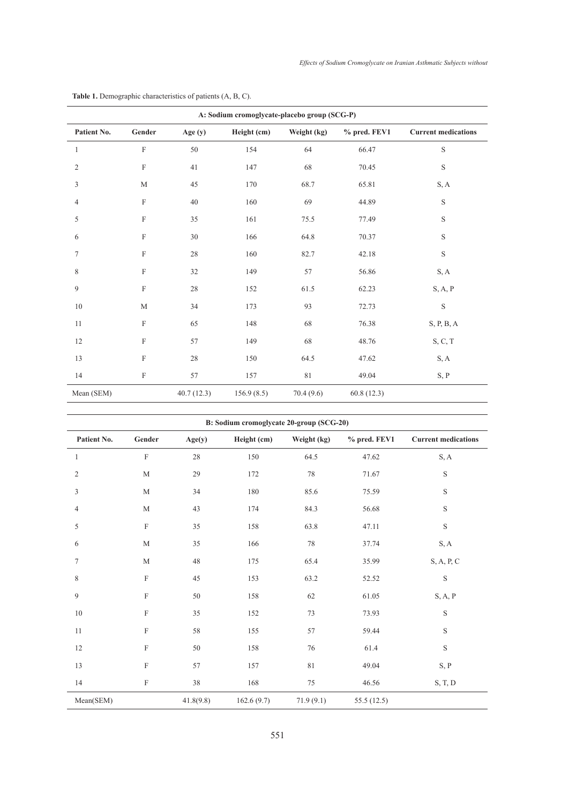| A: Sodium cromoglycate-placebo group (SCG-P) |                           |            |             |             |              |                            |
|----------------------------------------------|---------------------------|------------|-------------|-------------|--------------|----------------------------|
| Patient No.                                  | Gender                    | Age (y)    | Height (cm) | Weight (kg) | % pred. FEV1 | <b>Current medications</b> |
| 1                                            | $\boldsymbol{\mathrm{F}}$ | 50         | 154         | 64          | 66.47        | $\mathbf S$                |
| $\sqrt{2}$                                   | $\mathbf F$               | 41         | 147         | 68          | 70.45        | $\mathbf S$                |
| $\mathfrak z$                                | $\mathbf M$               | 45         | 170         | 68.7        | 65.81        | S, A                       |
| $\overline{4}$                               | $\rm F$                   | 40         | 160         | 69          | 44.89        | $\mathbf S$                |
| 5                                            | $\mathbf F$               | 35         | 161         | 75.5        | 77.49        | S                          |
| 6                                            | $\boldsymbol{\mathrm{F}}$ | 30         | 166         | 64.8        | 70.37        | S                          |
| $\tau$                                       | $\rm F$                   | $28\,$     | 160         | 82.7        | 42.18        | $\mathbf S$                |
| 8                                            | $\rm F$                   | 32         | 149         | 57          | 56.86        | S, A                       |
| 9                                            | $\rm F$                   | 28         | 152         | 61.5        | 62.23        | S, A, P                    |
| 10                                           | $\mathbf M$               | 34         | 173         | 93          | 72.73        | $\mathbf S$                |
| 11                                           | $\rm F$                   | 65         | 148         | 68          | 76.38        | S, P, B, A                 |
| $12\,$                                       | $\rm F$                   | 57         | 149         | 68          | 48.76        | S, C, T                    |
| 13                                           | $\rm F$                   | $28\,$     | 150         | 64.5        | 47.62        | S, A                       |
| 14                                           | $\mathbf F$               | 57         | 157         | 81          | 49.04        | S, P                       |
| Mean (SEM)                                   |                           | 40.7(12.3) | 156.9(8.5)  | 70.4(9.6)   | 60.8(12.3)   |                            |

# **Table 1.** Demographic characteristics of patients (A, B, C).

| B: Sodium cromoglycate 20-group (SCG-20) |             |           |             |             |              |                            |
|------------------------------------------|-------------|-----------|-------------|-------------|--------------|----------------------------|
| Patient No.                              | Gender      | Age(y)    | Height (cm) | Weight (kg) | % pred. FEV1 | <b>Current medications</b> |
| 1                                        | $\rm F$     | $28\,$    | 150         | 64.5        | 47.62        | S, A                       |
| $\mathbf{2}$                             | M           | 29        | 172         | 78          | 71.67        | S                          |
| 3                                        | $\mathbf M$ | 34        | 180         | 85.6        | 75.59        | $\mathbf S$                |
| $\overline{4}$                           | M           | 43        | 174         | 84.3        | 56.68        | S                          |
| 5                                        | $\rm F$     | 35        | 158         | 63.8        | 47.11        | $\mathbf S$                |
| 6                                        | M           | 35        | 166         | 78          | 37.74        | S, A                       |
| 7                                        | M           | 48        | 175         | 65.4        | 35.99        | S, A, P, C                 |
| 8                                        | $\mathbf F$ | 45        | 153         | 63.2        | 52.52        | $\mathbf S$                |
| 9                                        | $\rm F$     | 50        | 158         | $62\,$      | 61.05        | S, A, P                    |
| $10\,$                                   | $\mathbf F$ | 35        | 152         | 73          | 73.93        | S                          |
| 11                                       | $\mathbf F$ | 58        | 155         | 57          | 59.44        | S                          |
| 12                                       | $\mathbf F$ | 50        | 158         | 76          | 61.4         | S                          |
| 13                                       | $\mathbf F$ | 57        | 157         | 81          | 49.04        | S, P                       |
| 14                                       | $\mathbf F$ | 38        | 168         | 75          | 46.56        | S, T, D                    |
| Mean(SEM)                                |             | 41.8(9.8) | 162.6(9.7)  | 71.9(9.1)   | 55.5 (12.5)  |                            |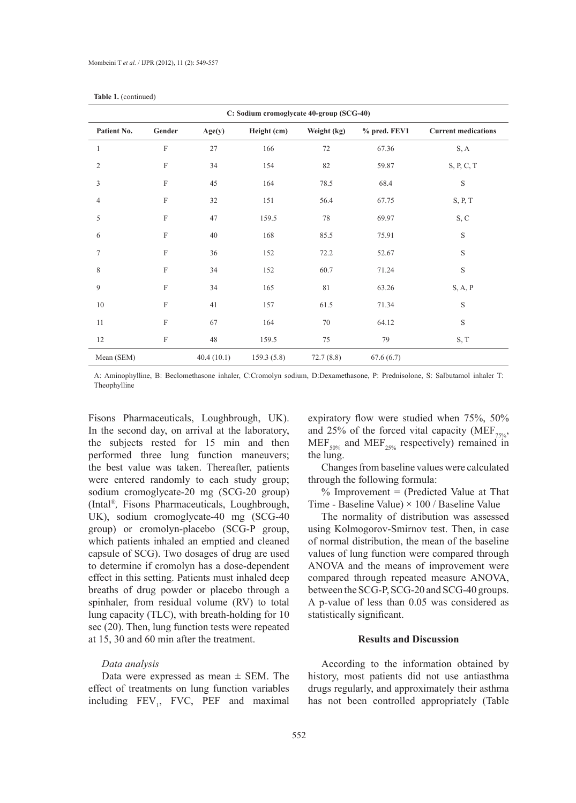| C: Sodium cromoglycate 40-group (SCG-40) |                           |            |             |             |              |                            |
|------------------------------------------|---------------------------|------------|-------------|-------------|--------------|----------------------------|
| Patient No.                              | Gender                    | Age(y)     | Height (cm) | Weight (kg) | % pred. FEV1 | <b>Current medications</b> |
| $\mathbf{1}$                             | $\mathbf F$               | 27         | 166         | 72          | 67.36        | S, A                       |
| $\overline{2}$                           | F                         | 34         | 154         | $82\,$      | 59.87        | S, P, C, T                 |
| 3                                        | $\overline{F}$            | 45         | 164         | 78.5        | 68.4         | $\mathbf S$                |
| $\overline{4}$                           | $\boldsymbol{\mathrm{F}}$ | $32\,$     | 151         | 56.4        | 67.75        | S, P, T                    |
| 5                                        | $\rm F$                   | 47         | 159.5       | 78          | 69.97        | S, C                       |
| 6                                        | $\boldsymbol{\mathrm{F}}$ | 40         | 168         | 85.5        | 75.91        | $\mathbf S$                |
| $\overline{7}$                           | $\overline{F}$            | 36         | 152         | 72.2        | 52.67        | $\mathbf S$                |
| 8                                        | $\overline{F}$            | 34         | 152         | 60.7        | 71.24        | $\mathbf S$                |
| 9                                        | F                         | 34         | 165         | 81          | 63.26        | S, A, P                    |
| $10\,$                                   | F                         | 41         | 157         | 61.5        | 71.34        | S                          |
| 11                                       | $\boldsymbol{\mathrm{F}}$ | 67         | 164         | 70          | 64.12        | $\mathbf S$                |
| 12                                       | $\rm F$                   | 48         | 159.5       | 75          | 79           | S, T                       |
| Mean (SEM)                               |                           | 40.4(10.1) | 159.3(5.8)  | 72.7(8.8)   | 67.6(6.7)    |                            |

| Table 1. (continued) |
|----------------------|
|                      |

A: Aminophylline, B: Beclomethasone inhaler, C:Cromolyn sodium, D:Dexamethasone, P: Prednisolone, S: Salbutamol inhaler T: Theophylline

Fisons Pharmaceuticals, Loughbrough, UK). In the second day, on arrival at the laboratory, the subjects rested for 15 min and then performed three lung function maneuvers; the best value was taken. Thereafter, patients were entered randomly to each study group; sodium cromoglycate-20 mg (SCG-20 group) (Intal®*,* Fisons Pharmaceuticals, Loughbrough, UK), sodium cromoglycate-40 mg (SCG-40 group) or cromolyn-placebo (SCG-P group, which patients inhaled an emptied and cleaned capsule of SCG). Two dosages of drug are used to determine if cromolyn has a dose-dependent effect in this setting. Patients must inhaled deep breaths of drug powder or placebo through a spinhaler, from residual volume (RV) to total lung capacity (TLC), with breath-holding for 10 sec (20). Then, lung function tests were repeated at 15, 30 and 60 min after the treatment.

# *Data analysis*

Data were expressed as mean  $\pm$  SEM. The effect of treatments on lung function variables including  $FEV_1$ , FVC, PEF and maximal expiratory flow were studied when 75%, 50% and 25% of the forced vital capacity (MEF<sub>75%</sub>,  $MEF<sub>50%</sub>$  and  $MEF<sub>25%</sub>$  respectively) remained in the lung.

Changes from baseline values were calculated through the following formula:

 $%$  Improvement = (Predicted Value at That Time - Baseline Value)  $\times$  100 / Baseline Value

The normality of distribution was assessed using Kolmogorov-Smirnov test. Then, in case of normal distribution, the mean of the baseline values of lung function were compared through ANOVA and the means of improvement were compared through repeated measure ANOVA, between the SCG-P, SCG-20 and SCG-40 groups. A p-value of less than 0.05 was considered as statistically significant.

# **Results and Discussion**

According to the information obtained by history, most patients did not use antiasthma drugs regularly, and approximately their asthma has not been controlled appropriately (Table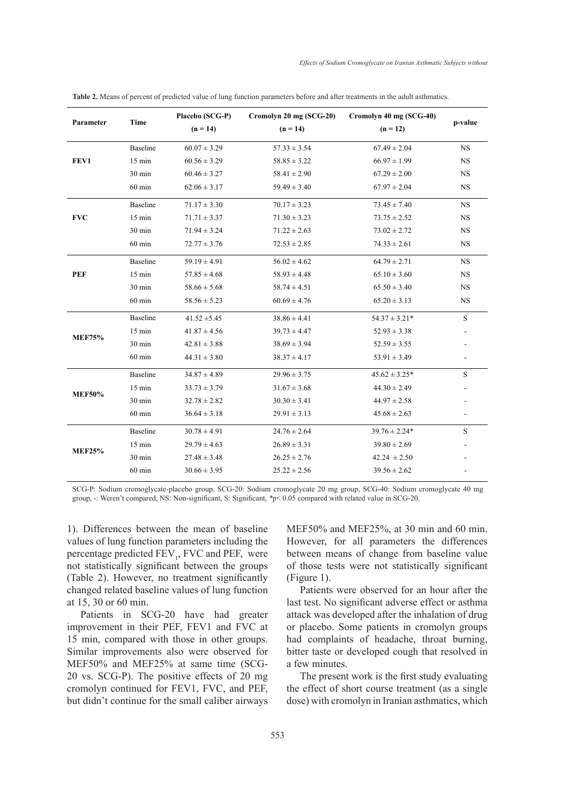| Parameter     | <b>Time</b>      | Placebo (SCG-P)  | Cromolyn 20 mg (SCG-20) | Cromolyn 40 mg (SCG-40) |             |
|---------------|------------------|------------------|-------------------------|-------------------------|-------------|
|               |                  | $(n = 14)$       | $(n = 14)$              | $(n = 12)$              | p-value     |
|               | Baseline         | $60.07 \pm 3.29$ | $57.33 \pm 3.54$        | $67.49 \pm 2.04$        | <b>NS</b>   |
| FEV1          | $15 \text{ min}$ | $60.56 \pm 3.29$ | $58.85 \pm 3.22$        | $66.97 \pm 1.99$        | <b>NS</b>   |
|               | 30 min           | $60.46 \pm 3.27$ | $58.41 \pm 2.90$        | $67.29 \pm 2.00$        | <b>NS</b>   |
|               | $60 \text{ min}$ | $62.06 \pm 3.17$ | $59.49 \pm 3.40$        | $67.97 \pm 2.04$        | <b>NS</b>   |
|               | Baseline         | $71.17 \pm 3.30$ | $70.17 \pm 3.23$        | $73.45 \pm 7.40$        | <b>NS</b>   |
| <b>FVC</b>    | $15 \text{ min}$ | $71.71 \pm 3.37$ | $71.30 \pm 3.23$        | $73.75 \pm 2.52$        | <b>NS</b>   |
|               | $30 \text{ min}$ | $71.94 \pm 3.24$ | $71.22 \pm 2.63$        | $73.02 \pm 2.72$        | <b>NS</b>   |
|               | $60$ min         | $72.77 \pm 3.76$ | $72.53 \pm 2.85$        | $74.33 \pm 2.61$        | <b>NS</b>   |
|               | Baseline         | $59.19 \pm 4.91$ | $56.02 \pm 4.62$        | $64.79 \pm 2.71$        | NS          |
| <b>PEF</b>    | $15 \text{ min}$ | $57.85\pm4.68$   | $58.93 \pm 4.48$        | $65.10 \pm 3.60$        | <b>NS</b>   |
|               | 30 min           | $58.66 \pm 5.68$ | $58.74 \pm 4.51$        | $65.50 \pm 3.40$        | <b>NS</b>   |
|               | $60$ min         | $58.56 \pm 5.23$ | $60.69 \pm 4.76$        | $65.20 \pm 3.13$        | <b>NS</b>   |
| <b>MEF75%</b> | Baseline         | $41.52 \pm 5.45$ | $38.86 \pm 4.41$        | $54.37 \pm 3.21*$       | $\mathbf S$ |
|               | $15 \text{ min}$ | $41.87 \pm 4.56$ | $39.73 \pm 4.47$        | $52.93 \pm 3.38$        |             |
|               | 30 min           | $42.81 \pm 3.88$ | $38.69 \pm 3.94$        | $52.59 \pm 3.55$        |             |
|               | $60 \text{ min}$ | $44.31 \pm 3.80$ | $38.37 \pm 4.17$        | $53.91 \pm 3.49$        |             |
| <b>MEF50%</b> | Baseline         | $34.87 \pm 4.89$ | $29.96 \pm 3.75$        | $45.62 \pm 3.25*$       | S           |
|               | $15 \text{ min}$ | $33.73 \pm 3.79$ | $31.67 \pm 3.68$        | $44.30 \pm 2.49$        |             |
|               | 30 min           | $32.78 \pm 2.82$ | $30.30 \pm 3.41$        | $44.97 \pm 2.58$        |             |
|               | $60$ min         | $36.64 \pm 3.18$ | $29.91 \pm 3.13$        | $45.68 \pm 2.63$        |             |
| <b>MEF25%</b> | Baseline         | $30.78 \pm 4.91$ | $24.76 \pm 2.64$        | $39.76 \pm 2.24*$       | S           |
|               | $15 \text{ min}$ | $29.79 \pm 4.63$ | $26.89 \pm 3.31$        | $39.80 \pm 2.69$        |             |
|               | 30 min           | $27.48 \pm 3.48$ | $26.25 \pm 2.76$        | $42.24 \pm 2.50$        |             |
|               | $60$ min         | $30.66 \pm 3.95$ | $25.22 \pm 2.56$        | $39.56 \pm 2.62$        |             |

**Table 2.** Means of percent of predicted value of lung function parameters before and after treatments in the adult asthmatics.

SCG-P: Sodium cromoglycate-placebo group, SCG-20: Sodium cromoglycate 20 mg group, SCG-40: Sodium cromoglycate 40 mg group, -: Weren't compared, NS: Non-significant, S: Significant, *\**p< 0.05 compared with related value in SCG-20.

1). Differences between the mean of baseline values of lung function parameters including the percentage predicted FEV<sub>1</sub>, FVC and PEF, were not statistically significant between the groups (Table 2). However, no treatment significantly changed related baseline values of lung function at 15, 30 or 60 min.

Patients in SCG-20 have had greater improvement in their PEF, FEV1 and FVC at 15 min, compared with those in other groups. Similar improvements also were observed for MEF50% and MEF25% at same time (SCG-20 vs. SCG-P). The positive effects of 20 mg The present work is the first study evaluating approach as extensive effect of  $\frac{1}{2}$ . FVC, and PEF, the effect of short course tractment (as a simple cromolyn continued for FEV1, FVC, and PEF, but didn't continue for the small caliber airways Similar improvements also were observed for bitter taste or developed cough that resolved in

MEF50% and MEF25%, at 30 min and 60 min. However, for all parameters the differences between means of change from baseline value of those tests were not statistically significant (Figure 1).

Patients were observed for an hour after the last test. No significant adverse effect or asthma attack was developed after the inhalation of drug vement in their PEF, FEV1 and FVC at or placebo. Some patients in cromolyn groups had complaints of headache, throat burning, a few minutes.

> The present work is the first study evaluating the effect of short course treatment (as a single dose) with cromolyn in Iranian asthmatics, which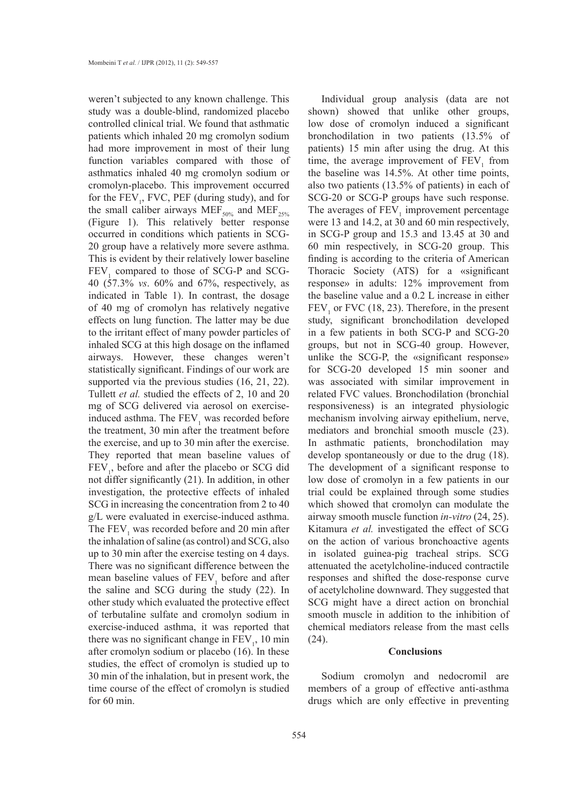weren't subjected to any known challenge. This study was a double-blind, randomized placebo controlled clinical trial. We found that asthmatic patients which inhaled 20 mg cromolyn sodium had more improvement in most of their lung function variables compared with those of asthmatics inhaled 40 mg cromolyn sodium or cromolyn-placebo. This improvement occurred for the  $FEV_1$ , FVC, PEF (during study), and for the small caliber airways MEF<sub>50%</sub> and MEF<sub>25%</sub> (Figure 1). This relatively better response occurred in conditions which patients in SCG-20 group have a relatively more severe asthma. This is evident by their relatively lower baseline  $FEV<sub>1</sub>$  compared to those of SCG-P and SCG-40 (57.3% *vs*. 60% and 67%, respectively, as indicated in Table 1). In contrast, the dosage of 40 mg of cromolyn has relatively negative effects on lung function. The latter may be due to the irritant effect of many powder particles of inhaled SCG at this high dosage on the inflamed airways. However, these changes weren't statistically significant. Findings of our work are supported via the previous studies (16, 21, 22). Tullett *et al.* studied the effects of 2, 10 and 20 mg of SCG delivered via aerosol on exerciseinduced asthma. The  $FEV<sub>1</sub>$  was recorded before the treatment, 30 min after the treatment before the exercise, and up to 30 min after the exercise. They reported that mean baseline values of  $FEV<sub>1</sub>$ , before and after the placebo or SCG did not differ significantly (21). In addition, in other investigation, the protective effects of inhaled SCG in increasing the concentration from 2 to 40 g/L were evaluated in exercise-induced asthma. The  $FEV<sub>1</sub>$  was recorded before and 20 min after the inhalation of saline (as control) and SCG, also up to 30 min after the exercise testing on 4 days. There was no significant difference between the mean baseline values of  $FEV<sub>1</sub>$  before and after the saline and SCG during the study (22). In other study which evaluated the protective effect of terbutaline sulfate and cromolyn sodium in exercise-induced asthma, it was reported that there was no significant change in  $FEV<sub>1</sub>$ , 10 min after cromolyn sodium or placebo (16). In these studies, the effect of cromolyn is studied up to 30 min of the inhalation, but in present work, the time course of the effect of cromolyn is studied for 60 min.

Individual group analysis (data are not shown) showed that unlike other groups, low dose of cromolyn induced a significant bronchodilation in two patients (13.5% of patients) 15 min after using the drug. At this time, the average improvement of  $FEV<sub>1</sub>$  from the baseline was 14.5%. At other time points, also two patients (13.5% of patients) in each of SCG-20 or SCG-P groups have such response. The averages of  $FEV<sub>1</sub>$  improvement percentage were 13 and 14.2, at 30 and 60 min respectively, in SCG-P group and 15.3 and 13.45 at 30 and 60 min respectively, in SCG-20 group. This finding is according to the criteria of American Thoracic Society (ATS) for a «significant response» in adults: 12% improvement from the baseline value and a 0.2 L increase in either  $FEV<sub>1</sub>$  or FVC (18, 23). Therefore, in the present study, significant bronchodilation developed in a few patients in both SCG-P and SCG-20 groups, but not in SCG-40 group. However, unlike the SCG-P, the «significant response» for SCG-20 developed 15 min sooner and was associated with similar improvement in related FVC values. Bronchodilation (bronchial responsiveness) is an integrated physiologic mechanism involving airway epithelium, nerve, mediators and bronchial smooth muscle (23). In asthmatic patients, bronchodilation may develop spontaneously or due to the drug (18). The development of a significant response to low dose of cromolyn in a few patients in our trial could be explained through some studies which showed that cromolyn can modulate the airway smooth muscle function *in-vitro* (24, 25). Kitamura *et al.* investigated the effect of SCG on the action of various bronchoactive agents in isolated guinea-pig tracheal strips. SCG attenuated the acetylcholine-induced contractile responses and shifted the dose-response curve of acetylcholine downward. They suggested that SCG might have a direct action on bronchial smooth muscle in addition to the inhibition of chemical mediators release from the mast cells (24).

# **Conclusions**

Sodium cromolyn and nedocromil are members of a group of effective anti-asthma drugs which are only effective in preventing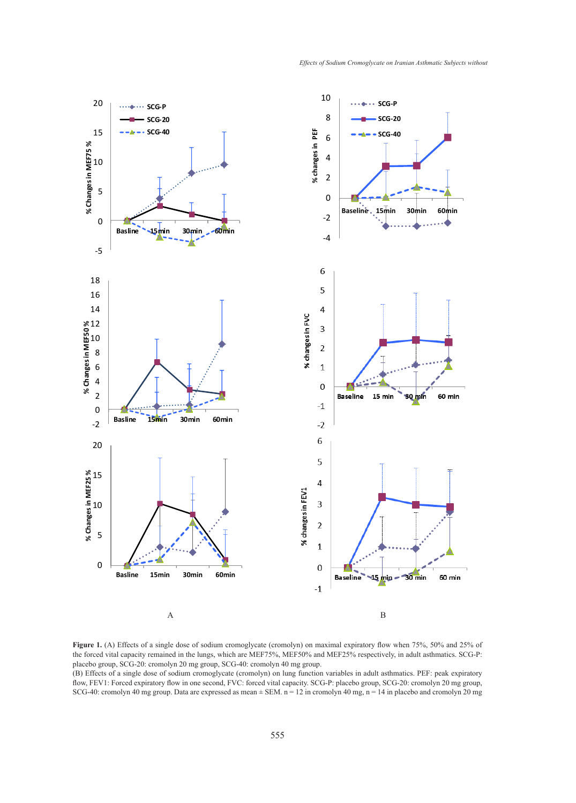

Figure 1. (A) Effects of a single dose of sodium cromoglycate (cromolyn) on maximal expiratory flow when 75%, 50% and 25% of the forced vital capacity remained in the lungs, which are MEF75%, MEF50% and MEF25% respectively, in adult asthmatics. SCG-P: placebo group, SCG-20: cromolyn 20 mg group, SCG-40: cromolyn 40 mg group.

(B) Effects of a single dose of sodium cromoglycate (cromolyn) on lung function variables in adult asthmatics. PEF: peak expiratory flow, FEV1: Forced expiratory flow in one second, FVC: forced vital capacity. SCG-P: placebo group, SCG-20: cromolyn 20 mg group,<br>SCG-40: examelyn 40 mg group, Dete are aunresced se mean + SEM n = 12 in aramelyn 40 mg n = SCG-40: cromolyn 40 mg group. Data are expressed as mean  $\pm$  SEM. n = 12 in cromolyn 40 mg, n = 14 in placebo and cromolyn 20 mg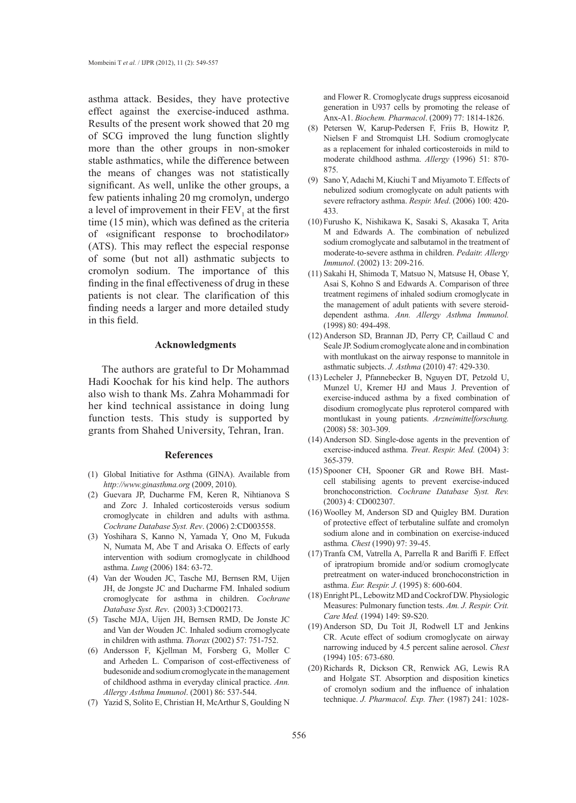asthma attack. Besides, they have protective effect against the exercise-induced asthma. Results of the present work showed that 20 mg of SCG improved the lung function slightly more than the other groups in non-smoker stable asthmatics, while the difference between the means of changes was not statistically significant. As well, unlike the other groups, a few patients inhaling 20 mg cromolyn, undergo a level of improvement in their  $FEV<sub>1</sub>$  at the first time (15 min), which was defined as the criteria of «significant response to brochodilator» (ATS). This may reflect the especial response of some (but not all) asthmatic subjects to cromolyn sodium. The importance of this finding in the final effectiveness of drug in these patients is not clear. The clarification of this finding needs a larger and more detailed study in this field.

# **Acknowledgments**

The authors are grateful to Dr Mohammad Hadi Koochak for his kind help. The authors also wish to thank Ms. Zahra Mohammadi for her kind technical assistance in doing lung function tests. This study is supported by grants from Shahed University, Tehran, Iran.

# **References**

- Global Initiative for Asthma (GINA). Available from (1) *http://www.ginasthma.org* (2009, 2010).
- Guevara JP, Ducharme FM, Keren R, Nihtianova S (2) and Zorc J. Inhaled corticosteroids versus sodium cromoglycate in children and adults with asthma. *Cochrane Database Syst. Rev*. (2006) 2:CD003558.
- Yoshihara S, Kanno N, Yamada Y, Ono M, Fukuda (3) N, Numata M, Abe T and Arisaka O. Effects of early intervention with sodium cromoglycate in childhood asthma. *Lung* (2006) 184: 63-72.
- (4) Van der Wouden JC, Tasche MJ, Bernsen RM, Uijen JH, de Jongste JC and Ducharme FM. Inhaled sodium cromoglycate for asthma in children. *Cochrane Database Syst. Rev*. (2003) 3:CD002173.
- Tasche MJA, Uijen JH, Bernsen RMD, De Jonste JC (5) and Van der Wouden JC. Inhaled sodium cromoglycate in children with asthma. *Thorax* (2002) 57: 751-752.
- Andersson F, Kjellman M, Forsberg G, Moller C (6) and Arheden L. Comparison of cost-effectiveness of budesonide and sodium cromoglycate in the management of childhood asthma in everyday clinical practice. *Ann. Allergy Asthma Immunol*. (2001) 86: 537-544.
- (7) Yazid S, Solito E, Christian H, McArthur S, Goulding N

and Flower R. Cromoglycate drugs suppress eicosanoid generation in U937 cells by promoting the release of Anx-A1. *Biochem. Pharmacol*. (2009) 77: 1814-1826.

- Petersen W, Karup-Pedersen F, Friis B, Howitz P, (8) Nielsen F and Stromquist LH. Sodium cromoglycate as a replacement for inhaled corticosteroids in mild to moderate childhood asthma. *Allergy* (1996) 51: 870- 875.
- Sano Y, Adachi M, Kiuchi T and Miyamoto T. Effects of (9) nebulized sodium cromoglycate on adult patients with severe refractory asthma. *Respir. Med*. (2006) 100: 420- 433.
- Furusho K, Nishikawa K, Sasaki S, Akasaka T, Arita (10) M and Edwards A. The combination of nebulized sodium cromoglycate and salbutamol in the treatment of moderate-to-severe asthma in children. *Pedaitr. Allergy Immunol*. (2002) 13: 209-216.
- (11) Sakahi H, Shimoda T, Matsuo N, Matsuse H, Obase Y, Asai S, Kohno S and Edwards A. Comparison of three treatment regimens of inhaled sodium cromoglycate in the management of adult patients with severe steroiddependent asthma. *Ann. Allergy Asthma Immunol.* (1998) 80: 494-498.
- (12) Anderson SD, Brannan JD, Perry CP, Caillaud C and Seale JP. Sodium cromoglycate alone and in combination with montlukast on the airway response to mannitole in asthmatic subjects. *J. Asthma* (2010) 47: 429-330.
- Lecheler J, Pfannebecker B, Nguyen DT, Petzold U, (13) Munzel U, Kremer HJ and Maus J. Prevention of exercise-induced asthma by a fixed combination of disodium cromoglycate plus reproterol compared with montlukast in young patients. *Arzneimittelforschung.* (2008) 58: 303-309.
- Anderson SD. Single-dose agents in the prevention of (14) exercise-induced asthma. *Treat*. *Respir. Med.* (2004) 3: 365-379.
- (15) Spooner CH, Spooner GR and Rowe BH. Mastcell stabilising agents to prevent exercise-induced bronchoconstriction. *Cochrane Database Syst. Rev.* (2003) 4: CD002307.
- Woolley M, Anderson SD and Quigley BM. Duration (16) of protective effect of terbutaline sulfate and cromolyn sodium alone and in combination on exercise-induced asthma*. Chest* (1990) 97: 39-45.
- $(17)$  Tranfa CM, Vatrella A, Parrella R and Bariffi F. Effect of ipratropium bromide and/or sodium cromoglycate pretreatment on water-induced bronchoconstriction in asthma. *Eur. Respir. J.* (1995) 8: 600-604.
- Enright PL, Lebowitz MD and Cockrof DW. Physiologic (18) Measures: Pulmonary function tests. *Am. J. Respir. Crit. Care Med.* (1994) 149: S9-S20.
- (19) Anderson SD, Du Toit JI, Rodwell LT and Jenkins CR. Acute effect of sodium cromoglycate on airway narrowing induced by 4.5 percent saline aerosol. *Chest* (1994) 105: 673-680.
- (20) Richards R, Dickson CR, Renwick AG, Lewis RA and Holgate ST. Absorption and disposition kinetics of cromolyn sodium and the influence of inhalation technique. *J. Pharmacol. Exp. Ther.* (1987) 241: 1028-